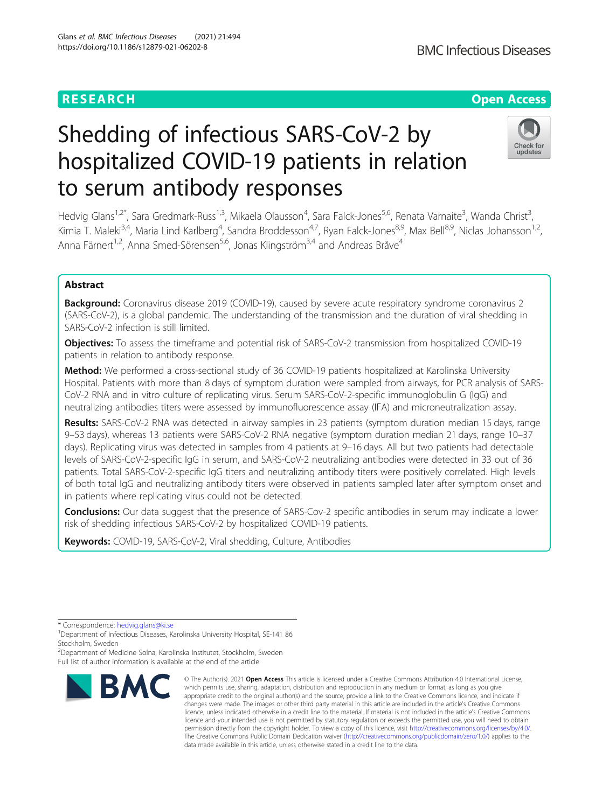# **RESEARCH CHE Open Access**

# Shedding of infectious SARS-CoV-2 by



,

hospitalized COVID-19 patients in relation to serum antibody responses Hedvig Glans<sup>1,2\*</sup>, Sara Gredmark-Russ<sup>1,3</sup>, Mikaela Olausson<sup>4</sup>, Sara Falck-Jones<sup>5,6</sup>, Renata Varnaite<sup>3</sup>, Wanda Christ<sup>3</sup> Kimia T. Maleki<sup>3,4</sup>, Maria Lind Karlberg<sup>4</sup>, Sandra Broddesson<sup>4,7</sup>, Ryan Falck-Jones<sup>8,9</sup>, Max Bell<sup>8,9</sup>, Niclas Johansson<sup>1,2</sup>,

Abstract

Background: Coronavirus disease 2019 (COVID-19), caused by severe acute respiratory syndrome coronavirus 2 (SARS-CoV-2), is a global pandemic. The understanding of the transmission and the duration of viral shedding in SARS-CoV-2 infection is still limited.

Anna Färnert<sup>1,2</sup>, Anna Smed-Sörensen<sup>5,6</sup>, Jonas Klingström<sup>3,4</sup> and Andreas Bråve<sup>4</sup>

Objectives: To assess the timeframe and potential risk of SARS-CoV-2 transmission from hospitalized COVID-19 patients in relation to antibody response.

Method: We performed a cross-sectional study of 36 COVID-19 patients hospitalized at Karolinska University Hospital. Patients with more than 8 days of symptom duration were sampled from airways, for PCR analysis of SARS-CoV-2 RNA and in vitro culture of replicating virus. Serum SARS-CoV-2-specific immunoglobulin G (IgG) and neutralizing antibodies titers were assessed by immunofluorescence assay (IFA) and microneutralization assay.

Results: SARS-CoV-2 RNA was detected in airway samples in 23 patients (symptom duration median 15 days, range 9–53 days), whereas 13 patients were SARS-CoV-2 RNA negative (symptom duration median 21 days, range 10–37 days). Replicating virus was detected in samples from 4 patients at 9–16 days. All but two patients had detectable levels of SARS-CoV-2-specific IgG in serum, and SARS-CoV-2 neutralizing antibodies were detected in 33 out of 36 patients. Total SARS-CoV-2-specific IgG titers and neutralizing antibody titers were positively correlated. High levels of both total IgG and neutralizing antibody titers were observed in patients sampled later after symptom onset and in patients where replicating virus could not be detected.

**Conclusions:** Our data suggest that the presence of SARS-Cov-2 specific antibodies in serum may indicate a lower risk of shedding infectious SARS-CoV-2 by hospitalized COVID-19 patients.

Keywords: COVID-19, SARS-CoV-2, Viral shedding, Culture, Antibodies

<sup>2</sup>Department of Medicine Solna, Karolinska Institutet, Stockholm, Sweden Full list of author information is available at the end of the article



<sup>©</sup> The Author(s), 2021 **Open Access** This article is licensed under a Creative Commons Attribution 4.0 International License, which permits use, sharing, adaptation, distribution and reproduction in any medium or format, as long as you give appropriate credit to the original author(s) and the source, provide a link to the Creative Commons licence, and indicate if changes were made. The images or other third party material in this article are included in the article's Creative Commons licence, unless indicated otherwise in a credit line to the material. If material is not included in the article's Creative Commons licence and your intended use is not permitted by statutory regulation or exceeds the permitted use, you will need to obtain permission directly from the copyright holder. To view a copy of this licence, visit [http://creativecommons.org/licenses/by/4.0/.](http://creativecommons.org/licenses/by/4.0/) The Creative Commons Public Domain Dedication waiver [\(http://creativecommons.org/publicdomain/zero/1.0/](http://creativecommons.org/publicdomain/zero/1.0/)) applies to the data made available in this article, unless otherwise stated in a credit line to the data.

<sup>\*</sup> Correspondence: [hedvig.glans@ki.se](mailto:hedvig.glans@ki.se) <sup>1</sup>

<sup>&</sup>lt;sup>1</sup>Department of Infectious Diseases, Karolinska University Hospital, SE-141 86 Stockholm, Sweden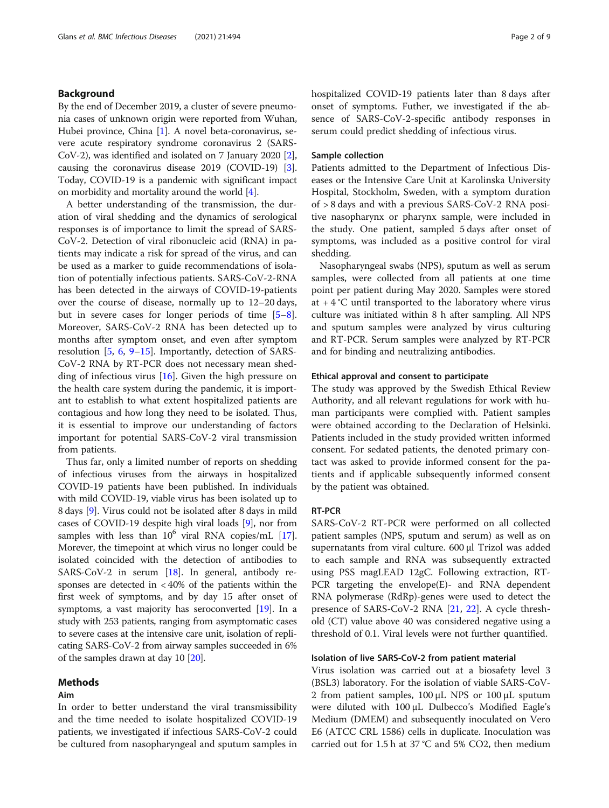# Background

By the end of December 2019, a cluster of severe pneumonia cases of unknown origin were reported from Wuhan, Hubei province, China [\[1](#page-7-0)]. A novel beta-coronavirus, severe acute respiratory syndrome coronavirus 2 (SARS-CoV-2), was identified and isolated on 7 January 2020 [[2](#page-7-0)], causing the coronavirus disease 2019 (COVID-19) [[3](#page-7-0)]. Today, COVID-19 is a pandemic with significant impact on morbidity and mortality around the world [\[4\]](#page-7-0).

A better understanding of the transmission, the duration of viral shedding and the dynamics of serological responses is of importance to limit the spread of SARS-CoV-2. Detection of viral ribonucleic acid (RNA) in patients may indicate a risk for spread of the virus, and can be used as a marker to guide recommendations of isolation of potentially infectious patients. SARS-CoV-2-RNA has been detected in the airways of COVID-19-patients over the course of disease, normally up to 12–20 days, but in severe cases for longer periods of time [\[5](#page-7-0)–[8](#page-7-0)]. Moreover, SARS-CoV-2 RNA has been detected up to months after symptom onset, and even after symptom resolution [[5,](#page-7-0) [6](#page-7-0), [9](#page-7-0)–[15](#page-7-0)]. Importantly, detection of SARS-CoV-2 RNA by RT-PCR does not necessary mean shedding of infectious virus [[16\]](#page-7-0). Given the high pressure on the health care system during the pandemic, it is important to establish to what extent hospitalized patients are contagious and how long they need to be isolated. Thus, it is essential to improve our understanding of factors important for potential SARS-CoV-2 viral transmission from patients.

Thus far, only a limited number of reports on shedding of infectious viruses from the airways in hospitalized COVID-19 patients have been published. In individuals with mild COVID-19, viable virus has been isolated up to 8 days [\[9\]](#page-7-0). Virus could not be isolated after 8 days in mild cases of COVID-19 despite high viral loads [\[9\]](#page-7-0), nor from samples with less than  $10^6$  viral RNA copies/mL [[17](#page-7-0)]. Morever, the timepoint at which virus no longer could be isolated coincided with the detection of antibodies to SARS-CoV-2 in serum [\[18](#page-7-0)]. In general, antibody responses are detected in < 40% of the patients within the first week of symptoms, and by day 15 after onset of symptoms, a vast majority has seroconverted [\[19](#page-7-0)]. In a study with 253 patients, ranging from asymptomatic cases to severe cases at the intensive care unit, isolation of replicating SARS-CoV-2 from airway samples succeeded in 6% of the samples drawn at day 10 [\[20\]](#page-7-0).

# Methods

# Aim

In order to better understand the viral transmissibility and the time needed to isolate hospitalized COVID-19 patients, we investigated if infectious SARS-CoV-2 could be cultured from nasopharyngeal and sputum samples in hospitalized COVID-19 patients later than 8 days after onset of symptoms. Futher, we investigated if the absence of SARS-CoV-2-specific antibody responses in serum could predict shedding of infectious virus.

# Sample collection

Patients admitted to the Department of Infectious Diseases or the Intensive Care Unit at Karolinska University Hospital, Stockholm, Sweden, with a symptom duration of > 8 days and with a previous SARS-CoV-2 RNA positive nasopharynx or pharynx sample, were included in the study. One patient, sampled 5 days after onset of symptoms, was included as a positive control for viral shedding.

Nasopharyngeal swabs (NPS), sputum as well as serum samples, were collected from all patients at one time point per patient during May 2020. Samples were stored at  $+4$  °C until transported to the laboratory where virus culture was initiated within 8 h after sampling. All NPS and sputum samples were analyzed by virus culturing and RT-PCR. Serum samples were analyzed by RT-PCR and for binding and neutralizing antibodies.

### Ethical approval and consent to participate

The study was approved by the Swedish Ethical Review Authority, and all relevant regulations for work with human participants were complied with. Patient samples were obtained according to the Declaration of Helsinki. Patients included in the study provided written informed consent. For sedated patients, the denoted primary contact was asked to provide informed consent for the patients and if applicable subsequently informed consent by the patient was obtained.

# RT-PCR

SARS-CoV-2 RT-PCR were performed on all collected patient samples (NPS, sputum and serum) as well as on supernatants from viral culture. 600 μl Trizol was added to each sample and RNA was subsequently extracted using PSS magLEAD 12gC. Following extraction, RT-PCR targeting the envelope(E)- and RNA dependent RNA polymerase (RdRp)-genes were used to detect the presence of SARS-CoV-2 RNA [\[21](#page-7-0), [22\]](#page-7-0). A cycle threshold (CT) value above 40 was considered negative using a threshold of 0.1. Viral levels were not further quantified.

# Isolation of live SARS-CoV-2 from patient material

Virus isolation was carried out at a biosafety level 3 (BSL3) laboratory. For the isolation of viable SARS-CoV-2 from patient samples, 100 μL NPS or 100 μL sputum were diluted with 100 μL Dulbecco's Modified Eagle's Medium (DMEM) and subsequently inoculated on Vero E6 (ATCC CRL 1586) cells in duplicate. Inoculation was carried out for 1.5 h at 37 °C and 5% CO2, then medium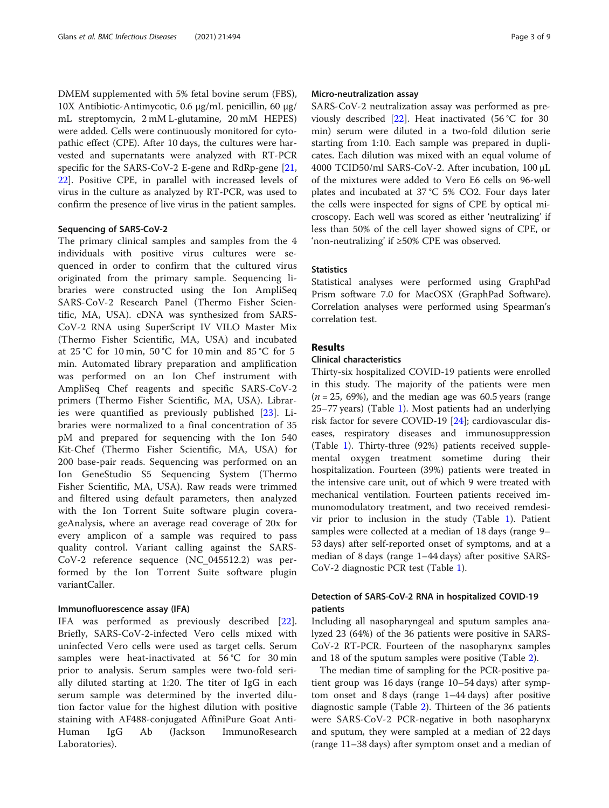DMEM supplemented with 5% fetal bovine serum (FBS), 10X Antibiotic-Antimycotic, 0.6 μg/mL penicillin, 60 μg/ mL streptomycin, 2 mM L-glutamine, 20 mM HEPES) were added. Cells were continuously monitored for cytopathic effect (CPE). After 10 days, the cultures were harvested and supernatants were analyzed with RT-PCR specific for the SARS-CoV-2 E-gene and RdRp-gene [[21](#page-7-0), [22\]](#page-7-0). Positive CPE, in parallel with increased levels of virus in the culture as analyzed by RT-PCR, was used to confirm the presence of live virus in the patient samples.

# Sequencing of SARS-CoV-2

The primary clinical samples and samples from the 4 individuals with positive virus cultures were sequenced in order to confirm that the cultured virus originated from the primary sample. Sequencing libraries were constructed using the Ion AmpliSeq SARS-CoV-2 Research Panel (Thermo Fisher Scientific, MA, USA). cDNA was synthesized from SARS-CoV-2 RNA using SuperScript IV VILO Master Mix (Thermo Fisher Scientific, MA, USA) and incubated at 25 °C for 10 min, 50 °C for 10 min and 85 °C for 5 min. Automated library preparation and amplification was performed on an Ion Chef instrument with AmpliSeq Chef reagents and specific SARS-CoV-2 primers (Thermo Fisher Scientific, MA, USA). Libraries were quantified as previously published [[23\]](#page-7-0). Libraries were normalized to a final concentration of 35 pM and prepared for sequencing with the Ion 540 Kit-Chef (Thermo Fisher Scientific, MA, USA) for 200 base-pair reads. Sequencing was performed on an Ion GeneStudio S5 Sequencing System (Thermo Fisher Scientific, MA, USA). Raw reads were trimmed and filtered using default parameters, then analyzed with the Ion Torrent Suite software plugin coverageAnalysis, where an average read coverage of 20x for every amplicon of a sample was required to pass quality control. Variant calling against the SARS-CoV-2 reference sequence (NC\_045512.2) was performed by the Ion Torrent Suite software plugin variantCaller.

# Immunofluorescence assay (IFA)

IFA was performed as previously described [\[22](#page-7-0)]. Briefly, SARS-CoV-2-infected Vero cells mixed with uninfected Vero cells were used as target cells. Serum samples were heat-inactivated at 56 °C for 30 min prior to analysis. Serum samples were two-fold serially diluted starting at 1:20. The titer of IgG in each serum sample was determined by the inverted dilution factor value for the highest dilution with positive staining with AF488-conjugated AffiniPure Goat Anti-Human IgG Ab (Jackson ImmunoResearch Laboratories).

# Micro-neutralization assay

SARS-CoV-2 neutralization assay was performed as previously described [\[22](#page-7-0)]. Heat inactivated (56 °C for 30 min) serum were diluted in a two-fold dilution serie starting from 1:10. Each sample was prepared in duplicates. Each dilution was mixed with an equal volume of 4000 TCID50/ml SARS-CoV-2. After incubation, 100 μL of the mixtures were added to Vero E6 cells on 96-well plates and incubated at 37 °C 5% CO2. Four days later the cells were inspected for signs of CPE by optical microscopy. Each well was scored as either 'neutralizing' if less than 50% of the cell layer showed signs of CPE, or 'non-neutralizing' if ≥50% CPE was observed.

# **Statistics**

Statistical analyses were performed using GraphPad Prism software 7.0 for MacOSX (GraphPad Software). Correlation analyses were performed using Spearman's correlation test.

# Results

# Clinical characteristics

Thirty-six hospitalized COVID-19 patients were enrolled in this study. The majority of the patients were men  $(n = 25, 69%)$ , and the median age was 60.5 years (range 25–77 years) (Table [1](#page-3-0)). Most patients had an underlying risk factor for severe COVID-19 [[24\]](#page-7-0); cardiovascular diseases, respiratory diseases and immunosuppression (Table [1\)](#page-3-0). Thirty-three (92%) patients received supplemental oxygen treatment sometime during their hospitalization. Fourteen (39%) patients were treated in the intensive care unit, out of which 9 were treated with mechanical ventilation. Fourteen patients received immunomodulatory treatment, and two received remdesivir prior to inclusion in the study (Table [1](#page-3-0)). Patient samples were collected at a median of 18 days (range 9– 53 days) after self-reported onset of symptoms, and at a median of 8 days (range 1–44 days) after positive SARS-CoV-2 diagnostic PCR test (Table [1\)](#page-3-0).

# Detection of SARS-CoV-2 RNA in hospitalized COVID-19 patients

Including all nasopharyngeal and sputum samples analyzed 23 (64%) of the 36 patients were positive in SARS-CoV-2 RT-PCR. Fourteen of the nasopharynx samples and 18 of the sputum samples were positive (Table [2\)](#page-4-0).

The median time of sampling for the PCR-positive patient group was 16 days (range 10–54 days) after symptom onset and 8 days (range 1–44 days) after positive diagnostic sample (Table [2\)](#page-4-0). Thirteen of the 36 patients were SARS-CoV-2 PCR-negative in both nasopharynx and sputum, they were sampled at a median of 22 days (range 11–38 days) after symptom onset and a median of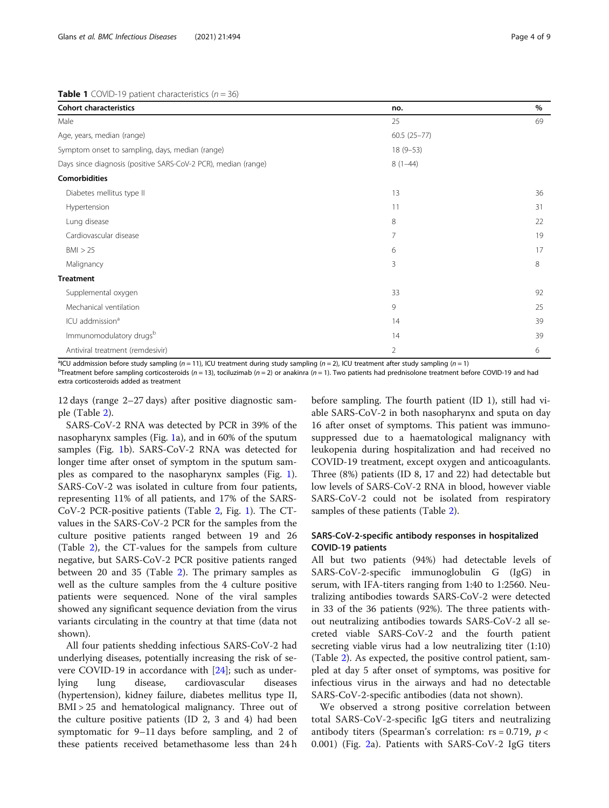# <span id="page-3-0"></span>**Table 1** COVID-19 patient characteristics  $(n = 36)$

| <b>Cohort characteristics</b>                                  | no.            | $\%$ |
|----------------------------------------------------------------|----------------|------|
| Male                                                           | 25             | 69   |
| Age, years, median (range)                                     | $60.5(25-77)$  |      |
| Symptom onset to sampling, days, median (range)                | $18(9-53)$     |      |
| Days since diagnosis (positive SARS-CoV-2 PCR), median (range) | $8(1-44)$      |      |
| <b>Comorbidities</b>                                           |                |      |
| Diabetes mellitus type II                                      | 13             | 36   |
| Hypertension                                                   | 11             | 31   |
| Lung disease                                                   | 8              | 22   |
| Cardiovascular disease                                         | 7              | 19   |
| BM > 25                                                        | 6              | 17   |
| Malignancy                                                     | 3              | 8    |
| <b>Treatment</b>                                               |                |      |
| Supplemental oxygen                                            | 33             | 92   |
| Mechanical ventilation                                         | 9              | 25   |
| ICU addmission <sup>a</sup>                                    | 14             | 39   |
| Immunomodulatory drugsb                                        | 14             | 39   |
| Antiviral treatment (remdesivir)                               | $\overline{2}$ | 6    |
|                                                                |                |      |

<sup>a</sup>ICU addmission before study sampling (n = 11), ICU treatment during study sampling (n = 2), ICU treatment after study sampling (n = 1)<br><sup>b</sup>Treatment before sampling corticosteroids (n = 13), tosiluzimab (n = 2) or anaki

<sup>B</sup>Treatment before sampling corticosteroids (n = 13), tociluzimab (n = 2) or anakinra (n = 1). Two patients had prednisolone treatment before COVID-19 and had extra corticosteroids added as treatment

12 days (range 2–27 days) after positive diagnostic sample (Table [2\)](#page-4-0).

SARS-CoV-2 RNA was detected by PCR in 39% of the nasopharynx samples (Fig. [1](#page-5-0)a), and in 60% of the sputum samples (Fig. [1](#page-5-0)b). SARS-CoV-2 RNA was detected for longer time after onset of symptom in the sputum samples as compared to the nasopharynx samples (Fig. [1](#page-5-0)). SARS-CoV-2 was isolated in culture from four patients, representing 11% of all patients, and 17% of the SARS-CoV-2 PCR-positive patients (Table [2](#page-4-0), Fig. [1\)](#page-5-0). The CTvalues in the SARS-CoV-2 PCR for the samples from the culture positive patients ranged between 19 and 26 (Table [2](#page-4-0)), the CT-values for the sampels from culture negative, but SARS-CoV-2 PCR positive patients ranged between 20 and 35 (Table [2\)](#page-4-0). The primary samples as well as the culture samples from the 4 culture positive patients were sequenced. None of the viral samples showed any significant sequence deviation from the virus variants circulating in the country at that time (data not shown).

All four patients shedding infectious SARS-CoV-2 had underlying diseases, potentially increasing the risk of severe COVID-19 in accordance with [[24](#page-7-0)]; such as underlying lung disease, cardiovascular diseases (hypertension), kidney failure, diabetes mellitus type II, BMI > 25 and hematological malignancy. Three out of the culture positive patients (ID 2, 3 and 4) had been symptomatic for 9–11 days before sampling, and 2 of these patients received betamethasome less than 24 h

before sampling. The fourth patient (ID 1), still had viable SARS-CoV-2 in both nasopharynx and sputa on day 16 after onset of symptoms. This patient was immunosuppressed due to a haematological malignancy with leukopenia during hospitalization and had received no COVID-19 treatment, except oxygen and anticoagulants. Three (8%) patients (ID 8, 17 and 22) had detectable but low levels of SARS-CoV-2 RNA in blood, however viable SARS-CoV-2 could not be isolated from respiratory samples of these patients (Table [2\)](#page-4-0).

# SARS-CoV-2-specific antibody responses in hospitalized COVID-19 patients

All but two patients (94%) had detectable levels of SARS-CoV-2-specific immunoglobulin G (IgG) in serum, with IFA-titers ranging from 1:40 to 1:2560. Neutralizing antibodies towards SARS-CoV-2 were detected in 33 of the 36 patients (92%). The three patients without neutralizing antibodies towards SARS-CoV-2 all secreted viable SARS-CoV-2 and the fourth patient secreting viable virus had a low neutralizing titer (1:10) (Table [2\)](#page-4-0). As expected, the positive control patient, sampled at day 5 after onset of symptoms, was positive for infectious virus in the airways and had no detectable SARS-CoV-2-specific antibodies (data not shown).

We observed a strong positive correlation between total SARS-CoV-2-specific IgG titers and neutralizing antibody titers (Spearman's correlation:  $rs = 0.719$ ,  $p <$ 0.001) (Fig. [2a](#page-5-0)). Patients with SARS-CoV-2 IgG titers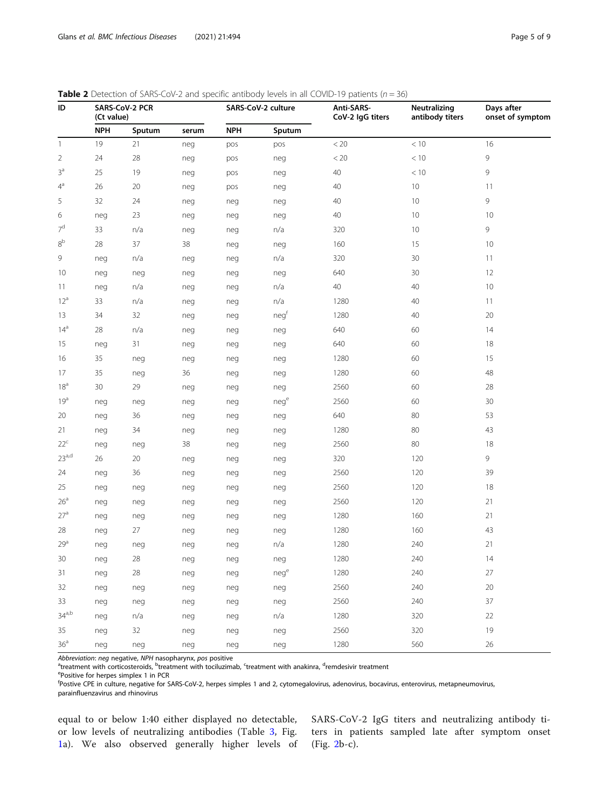<span id="page-4-0"></span>

| <b>Table 2</b> Detection of SARS-CoV-2 and specific antibody levels in all COVID-19 patients ( $n = 36$ ) |  |  |
|-----------------------------------------------------------------------------------------------------------|--|--|
|-----------------------------------------------------------------------------------------------------------|--|--|

| ID                | SARS-CoV-2 PCR<br>(Ct value) |        |       | SARS-CoV-2 culture |        | Anti-SARS-<br>CoV-2 IgG titers | Neutralizing<br>antibody titers | Days after<br>onset of symptom |  |
|-------------------|------------------------------|--------|-------|--------------------|--------|--------------------------------|---------------------------------|--------------------------------|--|
|                   | <b>NPH</b>                   | Sputum | serum | <b>NPH</b>         | Sputum |                                |                                 |                                |  |
| $\overline{1}$    | 19                           | 21     | neg   | pos                | pos    | < 20<br>$<10\,$                |                                 | 16                             |  |
| $\overline{2}$    | 24                           | 28     | neg   | pos                | neg    | $< 20\,$                       | $<10\,$                         | 9                              |  |
| 3 <sup>a</sup>    | 25                           | 19     | neg   | pos                | neg    | 40                             | < 10                            | 9                              |  |
| $4^a$             | 26                           | 20     | neg   | pos                | neg    | 40                             | 10                              | 11                             |  |
| 5                 | 32                           | 24     | neg   | neg                | neg    | 40                             | 10                              | 9                              |  |
| 6                 | neg                          | 23     | neg   | neg                | neg    | 40                             | 10                              | 10                             |  |
| 7 <sup>d</sup>    | 33                           | n/a    | neg   | neg                | n/a    | 10<br>320                      |                                 | 9                              |  |
| 8 <sup>b</sup>    | 28                           | 37     | 38    | neg                | neg    | 160                            | 15                              | 10                             |  |
| 9                 | neg                          | n/a    | neg   | neg                | n/a    | 320                            | 30                              |                                |  |
| 10                | neg                          | neg    | neg   | neg                | neg    | 640                            | 30                              | 12                             |  |
| 11                | neg                          | n/a    | neg   | neg                | n/a    | 40                             | 40                              | 10                             |  |
| 12 <sup>a</sup>   | 33                           | n/a    | neg   | neg                | n/a    | 1280                           | 40                              | 11                             |  |
| 13                | 34                           | 32     | neg   | neg                | negf   | 1280                           | 40                              | 20                             |  |
| 14 <sup>a</sup>   | 28                           | n/a    | neg   | neg                | neg    | 640                            | 60                              | 14                             |  |
| 15                | neg                          | 31     | neg   | neg                | neg    | 640                            | 60                              | 18                             |  |
| 16                | 35                           | neg    | neg   | neg                | neg    | 1280                           | 60                              | 15                             |  |
| 17                | 35                           | neg    | 36    | neg                | neg    | 1280                           | 60                              | 48                             |  |
| 18 <sup>a</sup>   | 30                           | 29     | neg   | neg                | neg    | 2560                           | 60                              | 28                             |  |
| 19 <sup>a</sup>   | neg                          | neg    | neg   | neg                | nege   | 2560                           | 60                              | 30                             |  |
| 20                | neg                          | 36     | neg   | neg                | neg    | 640                            | 80                              | 53                             |  |
| 21                | neg                          | 34     | neg   | neg                | neg    | 1280                           | 80                              | 43                             |  |
| $22^c$            | neg                          | neg    | 38    | neg                | neg    | 2560                           | 80                              | 18                             |  |
| 23 <sup>a,d</sup> | 26                           | 20     | neg   | neg                | neg    | 320                            | 120                             | 9                              |  |
| 24                | neg                          | 36     | neg   | neg                | neg    | 2560                           | 120                             | 39                             |  |
| 25                | neg                          | neg    | neg   | neg                | neg    | 2560                           | 120                             | 18                             |  |
| 26 <sup>a</sup>   | neg                          | neg    | neg   | neg                | neg    | 2560                           | 120                             | 21                             |  |
| 27 <sup>a</sup>   | neg                          | neg    | neg   | neg                | neg    | 1280                           | 160                             | 21                             |  |
| 28                | neg                          | 27     | neg   | neg                | neg    | 1280                           | 160                             | 43                             |  |
| 29 <sup>a</sup>   | neg                          | neg    | neg   | neg                | n/a    | 1280                           | 240                             | 21                             |  |
| $30\,$            | neg                          | $28\,$ | neg   | neg                | neg    | 1280                           | 240                             | $14$                           |  |
| 31                | neg                          | 28     | neg   | neg                | nege   | 1280                           | 240                             | 27                             |  |
| 32                | neg                          | neg    | neg   | neg                | neg    | 2560                           | 240                             | $20\,$                         |  |
| 33                | neg                          | neg    | neg   | neg                | neg    | 2560                           | 240                             | 37                             |  |
| $34^{a,b}$        | neg                          | n/a    | neg   | neg                | n/a    | 1280                           | 320                             | 22                             |  |
| 35                | neg                          | 32     | neg   | neg                | neg    | 2560                           | 320                             | 19                             |  |
| 36 <sup>a</sup>   | neg                          | neg    | neg   | neg                | neg    | 1280                           | 560                             | 26                             |  |

A*bbreviation: neg* negative, NPH nasopharynx, *pos* positive<br><sup>a</sup>treatment with corticosteroids, <sup>b</sup>reatment with tociluzimab, <sup>c</sup>treatment with anakinra, <sup>d</sup>remdesivir treatment<br><sup>e</sup>Pocitive for bernes simplex 1 in PCP

Positive for herpes simplex 1 in PCR

<sup>f</sup><br>Postive CPE in culture, negative for SARS-CoV-2, herpes simples 1 and 2, cytomegalovirus, adenovirus, bocavirus, metapneumovirus, parainfluenzavirus and rhinovirus

equal to or below 1:40 either displayed no detectable, or low levels of neutralizing antibodies (Table [3,](#page-6-0) Fig. [1a](#page-5-0)). We also observed generally higher levels of SARS-CoV-2 IgG titers and neutralizing antibody titers in patients sampled late after symptom onset (Fig. [2b](#page-5-0)-c).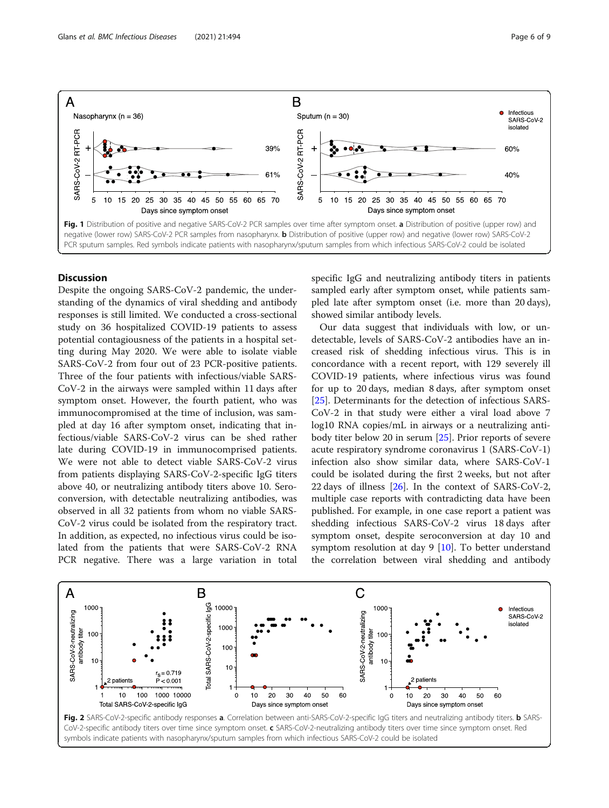<span id="page-5-0"></span>

# **Discussion**

Despite the ongoing SARS-CoV-2 pandemic, the understanding of the dynamics of viral shedding and antibody responses is still limited. We conducted a cross-sectional study on 36 hospitalized COVID-19 patients to assess potential contagiousness of the patients in a hospital setting during May 2020. We were able to isolate viable SARS-CoV-2 from four out of 23 PCR-positive patients. Three of the four patients with infectious/viable SARS-CoV-2 in the airways were sampled within 11 days after symptom onset. However, the fourth patient, who was immunocompromised at the time of inclusion, was sampled at day 16 after symptom onset, indicating that infectious/viable SARS-CoV-2 virus can be shed rather late during COVID-19 in immunocomprised patients. We were not able to detect viable SARS-CoV-2 virus from patients displaying SARS-CoV-2-specific IgG titers above 40, or neutralizing antibody titers above 10. Seroconversion, with detectable neutralizing antibodies, was observed in all 32 patients from whom no viable SARS-CoV-2 virus could be isolated from the respiratory tract. In addition, as expected, no infectious virus could be isolated from the patients that were SARS-CoV-2 RNA PCR negative. There was a large variation in total specific IgG and neutralizing antibody titers in patients sampled early after symptom onset, while patients sampled late after symptom onset (i.e. more than 20 days), showed similar antibody levels.

Our data suggest that individuals with low, or undetectable, levels of SARS-CoV-2 antibodies have an increased risk of shedding infectious virus. This is in concordance with a recent report, with 129 severely ill COVID-19 patients, where infectious virus was found for up to 20 days, median 8 days, after symptom onset [[25\]](#page-7-0). Determinants for the detection of infectious SARS-CoV-2 in that study were either a viral load above 7 log10 RNA copies/mL in airways or a neutralizing antibody titer below 20 in serum [\[25](#page-7-0)]. Prior reports of severe acute respiratory syndrome coronavirus 1 (SARS-CoV-1) infection also show similar data, where SARS-CoV-1 could be isolated during the first 2 weeks, but not after 22 days of illness  $[26]$  $[26]$ . In the context of SARS-CoV-2, multiple case reports with contradicting data have been published. For example, in one case report a patient was shedding infectious SARS-CoV-2 virus 18 days after symptom onset, despite seroconversion at day 10 and symptom resolution at day  $9$  [\[10](#page-7-0)]. To better understand the correlation between viral shedding and antibody

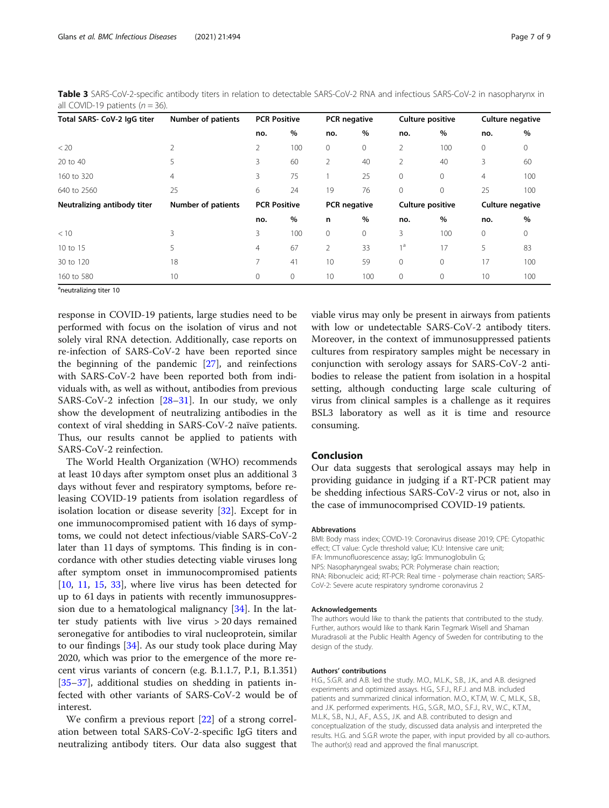<span id="page-6-0"></span>Glans et al. BMC Infectious Diseases (2021) 21:494 **Page 7 of 9** Page 7 of 9

| $\mu$ $\sim$ $\sigma$ $\mu$ $\sim$ $\sigma$ $\mu$ $\sim$ $\sigma$ $\sigma$ |                                                  |                     |              |                |         |                         |             |                  |              |
|----------------------------------------------------------------------------|--------------------------------------------------|---------------------|--------------|----------------|---------|-------------------------|-------------|------------------|--------------|
| Total SARS- CoV-2 IgG titer                                                | Number of patients                               | <b>PCR Positive</b> |              | PCR negative   |         | <b>Culture positive</b> |             | Culture negative |              |
|                                                                            |                                                  | no.                 | %            | no.            | %       | no.                     | $\%$        | no.              | $\%$         |
| < 20                                                                       | 2                                                | 2                   | 100          | $\circ$        | 0       | 2                       | 100         | 0                | 0            |
| 20 to 40                                                                   | 5                                                | 3                   | 60           | 2              | 40      | 2                       | 40          | 3                | 60           |
| 160 to 320                                                                 | 4                                                | 3                   | 75           |                | 25      | $\mathbf 0$             | $\mathbf 0$ | 4                | 100          |
| 640 to 2560                                                                | 25                                               | 6                   | 24           | 19             | 76      | $\mathbf{0}$            | $\mathbf 0$ | 25               | 100          |
| Neutralizing antibody titer                                                | <b>PCR Positive</b><br><b>Number of patients</b> |                     |              | PCR negative   |         | <b>Culture positive</b> |             | Culture negative |              |
|                                                                            |                                                  | no.                 | %            | n              | $\%$    | no.                     | $\%$        | no.              | %            |
| < 10                                                                       | 3                                                | 3                   | 100          | $\mathbf{0}$   | $\circ$ | 3                       | 100         | $\Omega$         | $\mathbf{0}$ |
| 10 to 15                                                                   | 5                                                | $\overline{4}$      | 67           | $\overline{2}$ | 33      | 1 <sub>a</sub>          | 17          | 5                | 83           |
| 30 to 120                                                                  | 18                                               | 7                   | 41           | 10             | 59      | $\mathbf{0}$            | $\mathbf 0$ | 17               | 100          |
| 160 to 580                                                                 | 10                                               | 0                   | $\mathbf{0}$ | 10             | 100     | $\mathbf{0}$            | 0           | 10               | 100          |

Table 3 SARS-CoV-2-specific antibody titers in relation to detectable SARS-CoV-2 RNA and infectious SARS-CoV-2 in nasopharynx in all COVID-19 patients  $(n = 36)$ .

<sup>a</sup>neutralizing titer 10

response in COVID-19 patients, large studies need to be performed with focus on the isolation of virus and not solely viral RNA detection. Additionally, case reports on re-infection of SARS-CoV-2 have been reported since the beginning of the pandemic [\[27](#page-7-0)], and reinfections with SARS-CoV-2 have been reported both from individuals with, as well as without, antibodies from previous SARS-CoV-2 infection  $[28-31]$  $[28-31]$  $[28-31]$ . In our study, we only show the development of neutralizing antibodies in the context of viral shedding in SARS-CoV-2 naïve patients. Thus, our results cannot be applied to patients with SARS-CoV-2 reinfection.

The World Health Organization (WHO) recommends at least 10 days after symptom onset plus an additional 3 days without fever and respiratory symptoms, before releasing COVID-19 patients from isolation regardless of isolation location or disease severity [[32\]](#page-8-0). Except for in one immunocompromised patient with 16 days of symptoms, we could not detect infectious/viable SARS-CoV-2 later than 11 days of symptoms. This finding is in concordance with other studies detecting viable viruses long after symptom onset in immunocompromised patients [[10,](#page-7-0) [11,](#page-7-0) [15](#page-7-0), [33](#page-8-0)], where live virus has been detected for up to 61 days in patients with recently immunosuppression due to a hematological malignancy [\[34](#page-8-0)]. In the latter study patients with live virus > 20 days remained seronegative for antibodies to viral nucleoprotein, similar to our findings [[34\]](#page-8-0). As our study took place during May 2020, which was prior to the emergence of the more recent virus variants of concern (e.g. B.1.1.7, P.1, B.1.351) [[35](#page-8-0)–[37](#page-8-0)], additional studies on shedding in patients infected with other variants of SARS-CoV-2 would be of interest.

We confirm a previous report [\[22\]](#page-7-0) of a strong correlation between total SARS-CoV-2-specific IgG titers and neutralizing antibody titers. Our data also suggest that viable virus may only be present in airways from patients with low or undetectable SARS-CoV-2 antibody titers. Moreover, in the context of immunosuppressed patients cultures from respiratory samples might be necessary in conjunction with serology assays for SARS-CoV-2 antibodies to release the patient from isolation in a hospital setting, although conducting large scale culturing of virus from clinical samples is a challenge as it requires BSL3 laboratory as well as it is time and resource consuming.

# Conclusion

Our data suggests that serological assays may help in providing guidance in judging if a RT-PCR patient may be shedding infectious SARS-CoV-2 virus or not, also in the case of immunocomprised COVID-19 patients.

## Abbrevations

BMI: Body mass index; COVID-19: Coronavirus disease 2019; CPE: Cytopathic effect; CT value: Cycle threshold value; ICU: Intensive care unit; IFA: Immunofluorescence assay; IgG: Immunoglobulin G; NPS: Nasopharyngeal swabs; PCR: Polymerase chain reaction; RNA: Ribonucleic acid; RT-PCR: Real time - polymerase chain reaction; SARS-CoV-2: Severe acute respiratory syndrome coronavirus 2

#### Acknowledgements

The authors would like to thank the patients that contributed to the study. Further, authors would like to thank Karin Tegmark Wisell and Shaman Muradrasoli at the Public Health Agency of Sweden for contributing to the design of the study.

# Authors' contributions

H.G., S.G.R. and A.B. led the study. M.O., M.L.K., S.B., J.K., and A.B. designed experiments and optimized assays. H.G., S.F.J., R.F.J. and M.B. included patients and summarized clinical information. M.O., K.T.M, W. C, M.L.K., S.B., and J.K. performed experiments. H.G., S.G.R., M.O., S.F.J., R.V., W.C., K.T.M., M.L.K., S.B., N.J., A.F., A.S.S., J.K. and A.B. contributed to design and conceptualization of the study, discussed data analysis and interpreted the results. H.G. and S.G.R wrote the paper, with input provided by all co-authors. The author(s) read and approved the final manuscript.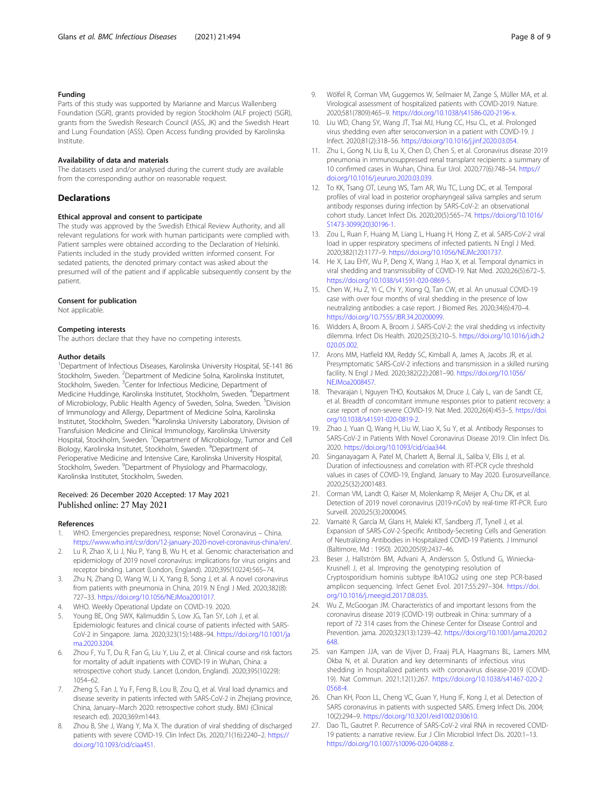# <span id="page-7-0"></span>Funding

Parts of this study was supported by Marianne and Marcus Wallenberg Foundation (SGR), grants provided by region Stockholm (ALF project) (SGR), grants from the Swedish Research Council (ASS, JK) and the Swedish Heart and Lung Foundation (ASS). Open Access funding provided by Karolinska Institute.

### Availability of data and materials

The datasets used and/or analysed during the current study are available from the corresponding author on reasonable request.

# **Declarations**

#### Ethical approval and consent to participate

The study was approved by the Swedish Ethical Review Authority, and all relevant regulations for work with human participants were complied with. Patient samples were obtained according to the Declaration of Helsinki. Patients included in the study provided written informed consent. For sedated patients, the denoted primary contact was asked about the presumed will of the patient and if applicable subsequently consent by the patient.

#### Consent for publication

Not applicable.

#### Competing interests

The authors declare that they have no competing interests.

#### Author details

<sup>1</sup>Department of Infectious Diseases, Karolinska University Hospital, SE-141 86 Stockholm, Sweden. <sup>2</sup>Department of Medicine Solna, Karolinska Institutet, Stockholm, Sweden. <sup>3</sup>Center for Infectious Medicine, Department of Medicine Huddinge, Karolinska Institutet, Stockholm, Sweden. <sup>4</sup>Department of Microbiology, Public Health Agency of Sweden, Solna, Sweden. <sup>5</sup>Division of Immunology and Allergy, Department of Medicine Solna, Karolinska Institutet, Stockholm, Sweden. <sup>6</sup>Karolinska University Laboratory, Division of Transfuision Medicine and Clinical Immunology, Karolinska University Hospital, Stockholm, Sweden. <sup>7</sup> Department of Microbiology, Tumor and Cell Biology, Karolinska Insitutet, Stockholm, Sweden. <sup>8</sup>Department of Perioperative Medicine and Intensive Care, Karolinska University Hospital, Stockholm, Sweden. <sup>9</sup>Department of Physiology and Pharmacology, Karolinska Institutet, Stockholm, Sweden.

# Received: 26 December 2020 Accepted: 17 May 2021 Published online: 27 May 2021

#### References

- WHO. Emergencies preparedness, response; Novel Coronavirus China. <https://www.who.int/csr/don/12-january-2020-novel-coronavirus-china/en/>.
- 2. Lu R, Zhao X, Li J, Niu P, Yang B, Wu H, et al. Genomic characterisation and epidemiology of 2019 novel coronavirus: implications for virus origins and receptor binding. Lancet (London, England). 2020;395(10224):565–74.
- Zhu N, Zhang D, Wang W, Li X, Yang B, Song J, et al. A novel coronavirus from patients with pneumonia in China, 2019. N Engl J Med. 2020;382(8): 727–33. <https://doi.org/10.1056/NEJMoa2001017>.
- 4. WHO. Weekly Operational Update on COVID-19. 2020.
- 5. Young BE, Ong SWX, Kalimuddin S, Low JG, Tan SY, Loh J, et al. Epidemiologic features and clinical course of patients infected with SARS-CoV-2 in Singapore. Jama. 2020;323(15):1488–94. [https://doi.org/10.1001/ja](https://doi.org/10.1001/jama.2020.3204) [ma.2020.3204](https://doi.org/10.1001/jama.2020.3204).
- Zhou F, Yu T, Du R, Fan G, Liu Y, Liu Z, et al. Clinical course and risk factors for mortality of adult inpatients with COVID-19 in Wuhan, China: a retrospective cohort study. Lancet (London, England). 2020;395(10229): 1054–62.
- 7. Zheng S, Fan J, Yu F, Feng B, Lou B, Zou Q, et al. Viral load dynamics and disease severity in patients infected with SARS-CoV-2 in Zhejiang province, China, January–March 2020: retrospective cohort study. BMJ (Clinical research ed). 2020;369:m1443.
- 8. Zhou B, She J, Wang Y, Ma X. The duration of viral shedding of discharged patients with severe COVID-19. Clin Infect Dis. 2020;71(16):2240–2. [https://](https://doi.org/10.1093/cid/ciaa451) [doi.org/10.1093/cid/ciaa451](https://doi.org/10.1093/cid/ciaa451).
- 9. Wölfel R, Corman VM, Guggemos W, Seilmaier M, Zange S, Müller MA, et al. Virological assessment of hospitalized patients with COVID-2019. Nature. 2020;581(7809):465–9. [https://doi.org/10.1038/s41586-020-2196-x.](https://doi.org/10.1038/s41586-020-2196-x)
- 10. Liu WD, Chang SY, Wang JT, Tsai MJ, Hung CC, Hsu CL, et al. Prolonged virus shedding even after seroconversion in a patient with COVID-19. J Infect. 2020;81(2):318–56. [https://doi.org/10.1016/j.jinf.2020.03.054.](https://doi.org/10.1016/j.jinf.2020.03.054)
- 11. Zhu L, Gong N, Liu B, Lu X, Chen D, Chen S, et al. Coronavirus disease 2019 pneumonia in immunosuppressed renal transplant recipients: a summary of 10 confirmed cases in Wuhan, China. Eur Urol. 2020;77(6):748–54. [https://](https://doi.org/10.1016/j.eururo.2020.03.039) [doi.org/10.1016/j.eururo.2020.03.039](https://doi.org/10.1016/j.eururo.2020.03.039).
- 12. To KK, Tsang OT, Leung WS, Tam AR, Wu TC, Lung DC, et al. Temporal profiles of viral load in posterior oropharyngeal saliva samples and serum antibody responses during infection by SARS-CoV-2: an observational cohort study. Lancet Infect Dis. 2020;20(5):565–74. [https://doi.org/10.1016/](https://doi.org/10.1016/S1473-3099(20)30196-1) [S1473-3099\(20\)30196-1](https://doi.org/10.1016/S1473-3099(20)30196-1).
- 13. Zou L, Ruan F, Huang M, Liang L, Huang H, Hong Z, et al. SARS-CoV-2 viral load in upper respiratory specimens of infected patients. N Engl J Med. 2020;382(12):1177–9. <https://doi.org/10.1056/NEJMc2001737>.
- 14. He X, Lau EHY, Wu P, Deng X, Wang J, Hao X, et al. Temporal dynamics in viral shedding and transmissibility of COVID-19. Nat Med. 2020;26(5):672–5. <https://doi.org/10.1038/s41591-020-0869-5>.
- 15. Chen W, Hu Z, Yi C, Chi Y, Xiong Q, Tan CW, et al. An unusual COVID-19 case with over four months of viral shedding in the presence of low neutralizing antibodies: a case report. J Biomed Res. 2020;34(6):470–4. <https://doi.org/10.7555/JBR.34.20200099>.
- 16. Widders A, Broom A, Broom J. SARS-CoV-2: the viral shedding vs infectivity dilemma. Infect Dis Health. 2020;25(3):210–5. [https://doi.org/10.1016/j.idh.2](https://doi.org/10.1016/j.idh.2020.05.002) [020.05.002](https://doi.org/10.1016/j.idh.2020.05.002).
- 17. Arons MM, Hatfield KM, Reddy SC, Kimball A, James A, Jacobs JR, et al. Presymptomatic SARS-CoV-2 infections and transmission in a skilled nursing facility. N Engl J Med. 2020;382(22):2081–90. [https://doi.org/10.1056/](https://doi.org/10.1056/NEJMoa2008457) [NEJMoa2008457](https://doi.org/10.1056/NEJMoa2008457).
- 18. Thevarajan I, Nguyen THO, Koutsakos M, Druce J, Caly L, van de Sandt CE, et al. Breadth of concomitant immune responses prior to patient recovery: a case report of non-severe COVID-19. Nat Med. 2020;26(4):453–5. [https://doi.](https://doi.org/10.1038/s41591-020-0819-2) [org/10.1038/s41591-020-0819-2](https://doi.org/10.1038/s41591-020-0819-2).
- 19. Zhao J, Yuan Q, Wang H, Liu W, Liao X, Su Y, et al. Antibody Responses to SARS-CoV-2 in Patients With Novel Coronavirus Disease 2019. Clin Infect Dis. 2020. <https://doi.org/10.1093/cid/ciaa344>.
- 20. Singanayagam A, Patel M, Charlett A, Bernal JL, Saliba V, Ellis J, et al. Duration of infectiousness and correlation with RT-PCR cycle threshold values in cases of COVID-19, England, January to May 2020. Eurosurveillance. 2020;25(32):2001483.
- 21. Corman VM, Landt O, Kaiser M, Molenkamp R, Meijer A, Chu DK, et al. Detection of 2019 novel coronavirus (2019-nCoV) by real-time RT-PCR. Euro Surveill. 2020;25(3):2000045.
- 22. Varnaitė R, García M, Glans H, Maleki KT, Sandberg JT, Tynell J, et al. Expansion of SARS-CoV-2-Specific Antibody-Secreting Cells and Generation of Neutralizing Antibodies in Hospitalized COVID-19 Patients. J Immunol (Baltimore, Md : 1950). 2020;205(9):2437–46.
- 23. Beser J, Hallström BM, Advani A, Andersson S, Östlund G, Winiecka-Krusnell J, et al. Improving the genotyping resolution of Cryptosporidium hominis subtype IbA10G2 using one step PCR-based amplicon sequencing. Infect Genet Evol. 2017;55:297–304. [https://doi.](https://doi.org/10.1016/j.meegid.2017.08.035) [org/10.1016/j.meegid.2017.08.035.](https://doi.org/10.1016/j.meegid.2017.08.035)
- 24. Wu Z, McGoogan JM. Characteristics of and important lessons from the coronavirus disease 2019 (COVID-19) outbreak in China: summary of a report of 72 314 cases from the Chinese Center for Disease Control and Prevention. jama. 2020;323(13):1239–42. [https://doi.org/10.1001/jama.2020.2](https://doi.org/10.1001/jama.2020.2648) [648.](https://doi.org/10.1001/jama.2020.2648)
- 25. van Kampen JJA, van de Vijver D, Fraaij PLA, Haagmans BL, Lamers MM, Okba N, et al. Duration and key determinants of infectious virus shedding in hospitalized patients with coronavirus disease-2019 (COVID-19). Nat Commun. 2021;12(1):267. [https://doi.org/10.1038/s41467-020-2](https://doi.org/10.1038/s41467-020-20568-4) [0568-4](https://doi.org/10.1038/s41467-020-20568-4).
- 26. Chan KH, Poon LL, Cheng VC, Guan Y, Hung IF, Kong J, et al. Detection of SARS coronavirus in patients with suspected SARS. Emerg Infect Dis. 2004; 10(2):294–9. [https://doi.org/10.3201/eid1002.030610.](https://doi.org/10.3201/eid1002.030610)
- 27. Dao TL, Gautret P. Recurrence of SARS-CoV-2 viral RNA in recovered COVID-19 patients: a narrative review. Eur J Clin Microbiol Infect Dis. 2020:1–13. [https://doi.org/10.1007/s10096-020-04088-z.](https://doi.org/10.1007/s10096-020-04088-z)